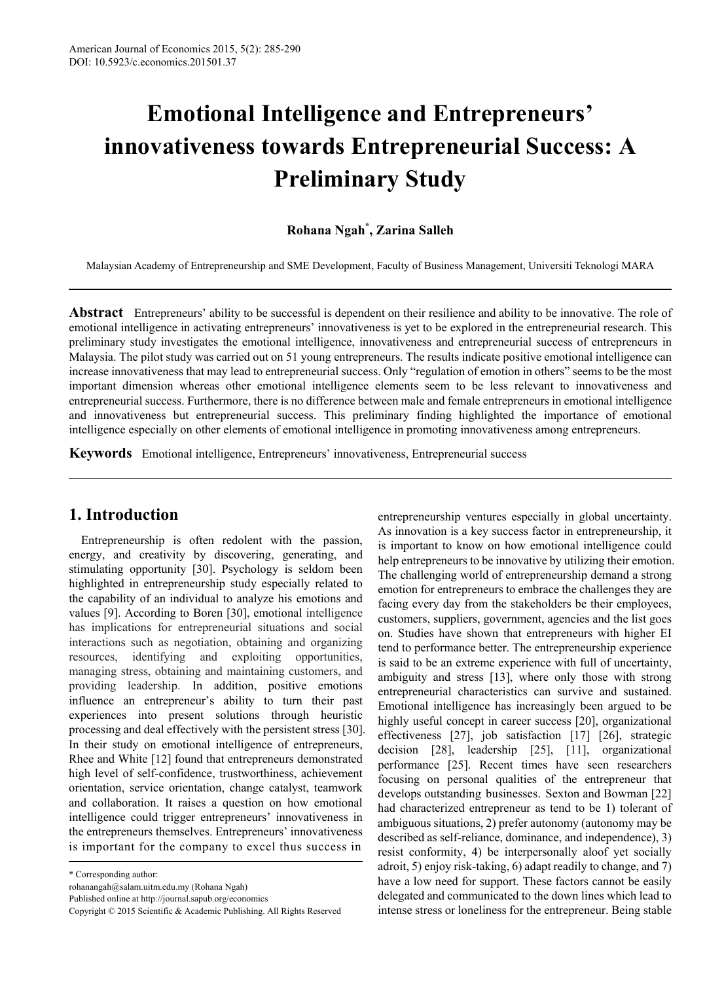# **Emotional Intelligence and Entrepreneurs' innovativeness towards Entrepreneurial Success: A Preliminary Study**

## **Rohana Ngah\* , Zarina Salleh**

Malaysian Academy of Entrepreneurship and SME Development, Faculty of Business Management, Universiti Teknologi MARA

**Abstract** Entrepreneurs' ability to be successful is dependent on their resilience and ability to be innovative. The role of emotional intelligence in activating entrepreneurs' innovativeness is yet to be explored in the entrepreneurial research. This preliminary study investigates the emotional intelligence, innovativeness and entrepreneurial success of entrepreneurs in Malaysia. The pilot study was carried out on 51 young entrepreneurs. The results indicate positive emotional intelligence can increase innovativeness that may lead to entrepreneurial success. Only "regulation of emotion in others" seems to be the most important dimension whereas other emotional intelligence elements seem to be less relevant to innovativeness and entrepreneurial success. Furthermore, there is no difference between male and female entrepreneurs in emotional intelligence and innovativeness but entrepreneurial success. This preliminary finding highlighted the importance of emotional intelligence especially on other elements of emotional intelligence in promoting innovativeness among entrepreneurs.

**Keywords** Emotional intelligence, Entrepreneurs' innovativeness, Entrepreneurial success

# **1. Introduction**

Entrepreneurship is often redolent with the passion, energy, and creativity by discovering, generating, and stimulating opportunity [30]. Psychology is seldom been highlighted in entrepreneurship study especially related to the capability of an individual to analyze his emotions and values [9]. According to Boren [30], emotional intelligence has implications for entrepreneurial situations and social interactions such as negotiation, obtaining and organizing resources, identifying and exploiting opportunities, managing stress, obtaining and maintaining customers, and providing leadership. In addition, positive emotions influence an entrepreneur's ability to turn their past experiences into present solutions through heuristic processing and deal effectively with the persistent stress [30]. In their study on emotional intelligence of entrepreneurs, Rhee and White [12] found that entrepreneurs demonstrated high level of self-confidence, trustworthiness, achievement orientation, service orientation, change catalyst, teamwork and collaboration. It raises a question on how emotional intelligence could trigger entrepreneurs' innovativeness in the entrepreneurs themselves. Entrepreneurs' innovativeness is important for the company to excel thus success in

entrepreneurship ventures especially in global uncertainty. As innovation is a key success factor in entrepreneurship, it is important to know on how emotional intelligence could help entrepreneurs to be innovative by utilizing their emotion. The challenging world of entrepreneurship demand a strong emotion for entrepreneurs to embrace the challenges they are facing every day from the stakeholders be their employees, customers, suppliers, government, agencies and the list goes on. Studies have shown that entrepreneurs with higher EI tend to performance better. The entrepreneurship experience is said to be an extreme experience with full of uncertainty, ambiguity and stress [13], where only those with strong entrepreneurial characteristics can survive and sustained. Emotional intelligence has increasingly been argued to be highly useful concept in career success [20], organizational effectiveness [27], job satisfaction [17] [26], strategic decision [28], leadership [25], [11], organizational performance [25]. Recent times have seen researchers focusing on personal qualities of the entrepreneur that develops outstanding businesses. Sexton and Bowman [22] had characterized entrepreneur as tend to be 1) tolerant of ambiguous situations, 2) prefer autonomy (autonomy may be described as self-reliance, dominance, and independence), 3) resist conformity, 4) be interpersonally aloof yet socially adroit, 5) enjoy risk-taking, 6) adapt readily to change, and 7) have a low need for support. These factors cannot be easily delegated and communicated to the down lines which lead to intense stress or loneliness for the entrepreneur. Being stable

<sup>\*</sup> Corresponding author:

rohanangah@salam.uitm.edu.my (Rohana Ngah)

Published online at http://journal.sapub.org/economics

Copyright © 2015 Scientific & Academic Publishing. All Rights Reserved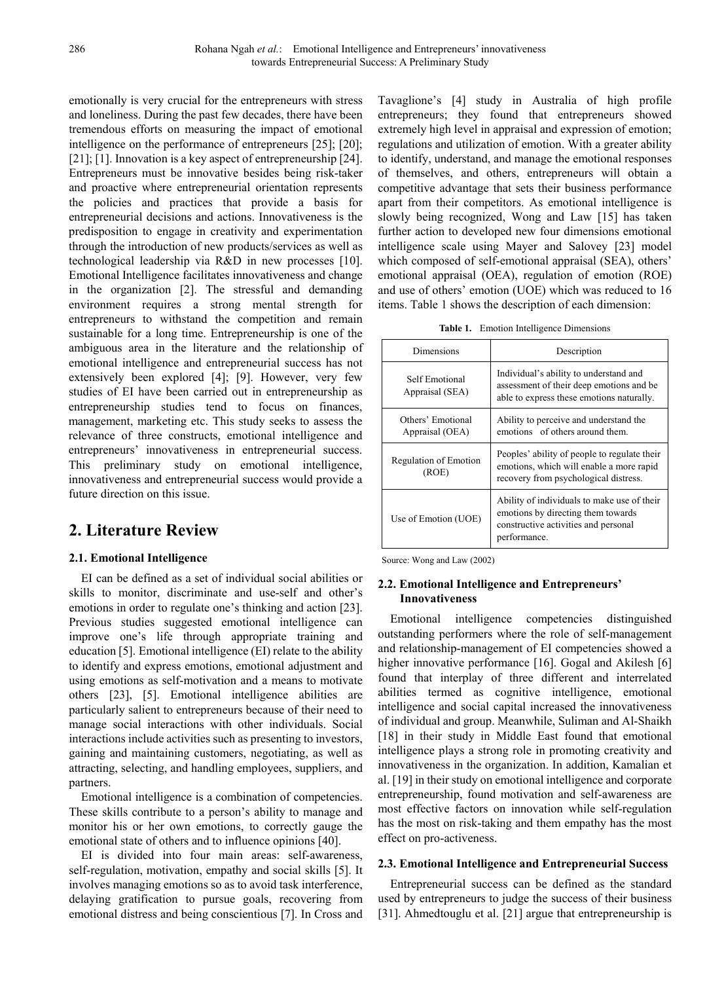emotionally is very crucial for the entrepreneurs with stress and loneliness. During the past few decades, there have been tremendous efforts on measuring the impact of emotional intelligence on the performance of entrepreneurs [25]; [20]; [21]; [1]. Innovation is a key aspect of entrepreneurship [24]. Entrepreneurs must be innovative besides being risk-taker and proactive where entrepreneurial orientation represents the policies and practices that provide a basis for entrepreneurial decisions and actions. Innovativeness is the predisposition to engage in creativity and experimentation through the introduction of new products/services as well as technological leadership via R&D in new processes [10]. Emotional Intelligence facilitates innovativeness and change in the organization [2]. The stressful and demanding environment requires a strong mental strength for entrepreneurs to withstand the competition and remain sustainable for a long time. Entrepreneurship is one of the ambiguous area in the literature and the relationship of emotional intelligence and entrepreneurial success has not extensively been explored [4]; [9]. However, very few studies of EI have been carried out in entrepreneurship as entrepreneurship studies tend to focus on finances, management, marketing etc. This study seeks to assess the relevance of three constructs, emotional intelligence and entrepreneurs' innovativeness in entrepreneurial success. This preliminary study on emotional intelligence, innovativeness and entrepreneurial success would provide a future direction on this issue.

# **2. Literature Review**

## **2.1. Emotional Intelligence**

EI can be defined as a set of individual social abilities or skills to monitor, discriminate and use-self and other's emotions in order to regulate one's thinking and action [23]. Previous studies suggested emotional intelligence can improve one's life through appropriate training and education [5]. Emotional intelligence (EI) relate to the ability to identify and express emotions, emotional adjustment and using emotions as self-motivation and a means to motivate others [23], [5]. Emotional intelligence abilities are particularly salient to entrepreneurs because of their need to manage social interactions with other individuals. Social interactions include activities such as presenting to investors, gaining and maintaining customers, negotiating, as well as attracting, selecting, and handling employees, suppliers, and partners.

Emotional intelligence is a combination of competencies. These skills contribute to a person's ability to manage and monitor his or her own emotions, to correctly gauge the emotional state of others and to influence opinions [40].

EI is divided into four main areas: self-awareness, self-regulation, motivation, empathy and social skills [5]. It involves managing emotions so as to avoid task interference, delaying gratification to pursue goals, recovering from emotional distress and being conscientious [7]. In Cross and Tavaglione's [4] study in Australia of high profile entrepreneurs; they found that entrepreneurs showed extremely high level in appraisal and expression of emotion; regulations and utilization of emotion. With a greater ability to identify, understand, and manage the emotional responses of themselves, and others, entrepreneurs will obtain a competitive advantage that sets their business performance apart from their competitors. As emotional intelligence is slowly being recognized, Wong and Law [15] has taken further action to developed new four dimensions emotional intelligence scale using Mayer and Salovey [23] model which composed of self-emotional appraisal (SEA), others' emotional appraisal (OEA), regulation of emotion (ROE) and use of others' emotion (UOE) which was reduced to 16 items. Table 1 shows the description of each dimension:

|  |  | Table 1. Emotion Intelligence Dimensions |  |
|--|--|------------------------------------------|--|
|--|--|------------------------------------------|--|

| Dimensions                           | Description                                                                                                                               |  |  |
|--------------------------------------|-------------------------------------------------------------------------------------------------------------------------------------------|--|--|
| Self Emotional<br>Appraisal (SEA)    | Individual's ability to understand and<br>assessment of their deep emotions and be<br>able to express these emotions naturally.           |  |  |
| Others' Emotional<br>Appraisal (OEA) | Ability to perceive and understand the<br>emotions of others around them.                                                                 |  |  |
| Regulation of Emotion<br>(ROE)       | Peoples' ability of people to regulate their<br>emotions, which will enable a more rapid<br>recovery from psychological distress.         |  |  |
| Use of Emotion (UOE)                 | Ability of individuals to make use of their<br>emotions by directing them towards<br>constructive activities and personal<br>performance. |  |  |

Source: Wong and Law (2002)

### **2.2. Emotional Intelligence and Entrepreneurs' Innovativeness**

Emotional intelligence competencies distinguished outstanding performers where the role of self-management and relationship-management of EI competencies showed a higher innovative performance [16]. Gogal and Akilesh [6] found that interplay of three different and interrelated abilities termed as cognitive intelligence, emotional intelligence and social capital increased the innovativeness of individual and group. Meanwhile, Suliman and Al-Shaikh [18] in their study in Middle East found that emotional intelligence plays a strong role in promoting creativity and innovativeness in the organization. In addition, Kamalian et al. [19] in their study on emotional intelligence and corporate entrepreneurship, found motivation and self-awareness are most effective factors on innovation while self-regulation has the most on risk-taking and them empathy has the most effect on pro-activeness.

#### **2.3. Emotional Intelligence and Entrepreneurial Success**

Entrepreneurial success can be defined as the standard used by entrepreneurs to judge the success of their business [31]. Ahmedtouglu et al. [21] argue that entrepreneurship is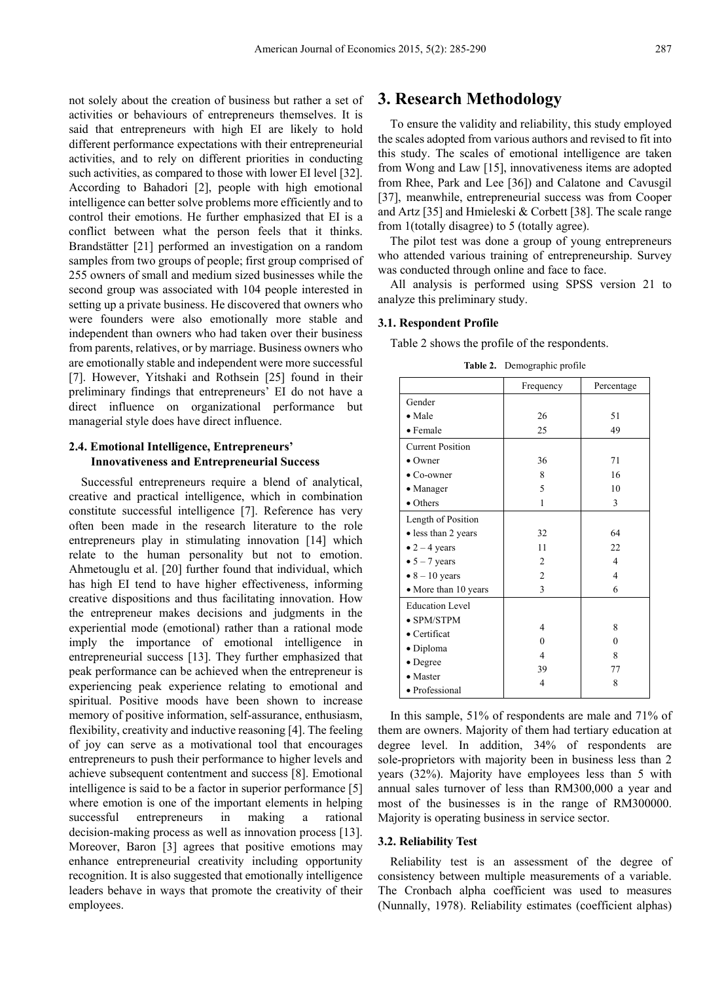not solely about the creation of business but rather a set of activities or behaviours of entrepreneurs themselves. It is said that entrepreneurs with high EI are likely to hold different performance expectations with their entrepreneurial activities, and to rely on different priorities in conducting such activities, as compared to those with lower EI level [32]. According to Bahadori [2], people with high emotional intelligence can better solve problems more efficiently and to control their emotions. He further emphasized that EI is a conflict between what the person feels that it thinks. Brandstätter [21] performed an investigation on a random samples from two groups of people; first group comprised of 255 owners of small and medium sized businesses while the second group was associated with 104 people interested in setting up a private business. He discovered that owners who were founders were also emotionally more stable and independent than owners who had taken over their business from parents, relatives, or by marriage. Business owners who are emotionally stable and independent were more successful [7]. However, Yitshaki and Rothsein [25] found in their preliminary findings that entrepreneurs' EI do not have a direct influence on organizational performance but managerial style does have direct influence.

### **2.4. Emotional Intelligence, Entrepreneurs' Innovativeness and Entrepreneurial Success**

Successful entrepreneurs require a blend of analytical, creative and practical intelligence, which in combination constitute successful intelligence [7]. Reference has very often been made in the research literature to the role entrepreneurs play in stimulating innovation [14] which relate to the human personality but not to emotion. Ahmetouglu et al. [20] further found that individual, which has high EI tend to have higher effectiveness, informing creative dispositions and thus facilitating innovation. How the entrepreneur makes decisions and judgments in the experiential mode (emotional) rather than a rational mode imply the importance of emotional intelligence in entrepreneurial success [13]. They further emphasized that peak performance can be achieved when the entrepreneur is experiencing peak experience relating to emotional and spiritual. Positive moods have been shown to increase memory of positive information, self-assurance, enthusiasm, flexibility, creativity and inductive reasoning [4]. The feeling of joy can serve as a motivational tool that encourages entrepreneurs to push their performance to higher levels and achieve subsequent contentment and success [8]. Emotional intelligence is said to be a factor in superior performance [5] where emotion is one of the important elements in helping successful entrepreneurs in making a rational decision-making process as well as innovation process [13]. Moreover, Baron [3] agrees that positive emotions may enhance entrepreneurial creativity including opportunity recognition. It is also suggested that emotionally intelligence leaders behave in ways that promote the creativity of their employees.

# **3. Research Methodology**

To ensure the validity and reliability, this study employed the scales adopted from various authors and revised to fit into this study. The scales of emotional intelligence are taken from Wong and Law [15], innovativeness items are adopted from Rhee, Park and Lee [36]) and Calatone and Cavusgil [37], meanwhile, entrepreneurial success was from Cooper and Artz [35] and Hmieleski & Corbett [38]. The scale range from 1(totally disagree) to 5 (totally agree).

The pilot test was done a group of young entrepreneurs who attended various training of entrepreneurship. Survey was conducted through online and face to face.

All analysis is performed using SPSS version 21 to analyze this preliminary study.

#### **3.1. Respondent Profile**

Table 2 shows the profile of the respondents.

|                         | Frequency      | Percentage               |  |  |
|-------------------------|----------------|--------------------------|--|--|
| Gender                  |                |                          |  |  |
| $\bullet$ Male          | 26             | 51                       |  |  |
| • Female                | 25             | 49                       |  |  |
| <b>Current Position</b> |                |                          |  |  |
| $\bullet$ Owner         | 36             | 71                       |  |  |
| $\bullet$ Co-owner      | 8              | 16                       |  |  |
| • Manager               | 5              | 10                       |  |  |
| • Others                | 1              | 3                        |  |  |
| Length of Position      |                |                          |  |  |
| • less than 2 years     | 32             | 64                       |  |  |
| $\bullet$ 2 – 4 years   | 11             | 22                       |  |  |
| $\bullet$ 5 - 7 years   | 2              | $\overline{\mathcal{L}}$ |  |  |
| $\bullet$ 8 - 10 years  | $\overline{c}$ | 4                        |  |  |
| • More than 10 years    | 3              | 6                        |  |  |
| <b>Education Level</b>  |                |                          |  |  |
| $\bullet$ SPM/STPM      | 4              | 8                        |  |  |
| • Certificat            | $\theta$       |                          |  |  |
| · Diploma               |                | $\theta$                 |  |  |
| • Degree                | $\overline{4}$ | 8                        |  |  |
| • Master                | 39             | 77                       |  |  |
| · Professional          | $\overline{4}$ | 8                        |  |  |

**Table 2.** Demographic profile

In this sample, 51% of respondents are male and 71% of them are owners. Majority of them had tertiary education at degree level. In addition, 34% of respondents are sole-proprietors with majority been in business less than 2 years (32%). Majority have employees less than 5 with annual sales turnover of less than RM300,000 a year and most of the businesses is in the range of RM300000. Majority is operating business in service sector.

#### **3.2. Reliability Test**

Reliability test is an assessment of the degree of consistency between multiple measurements of a variable. The Cronbach alpha coefficient was used to measures (Nunnally, 1978). Reliability estimates (coefficient alphas)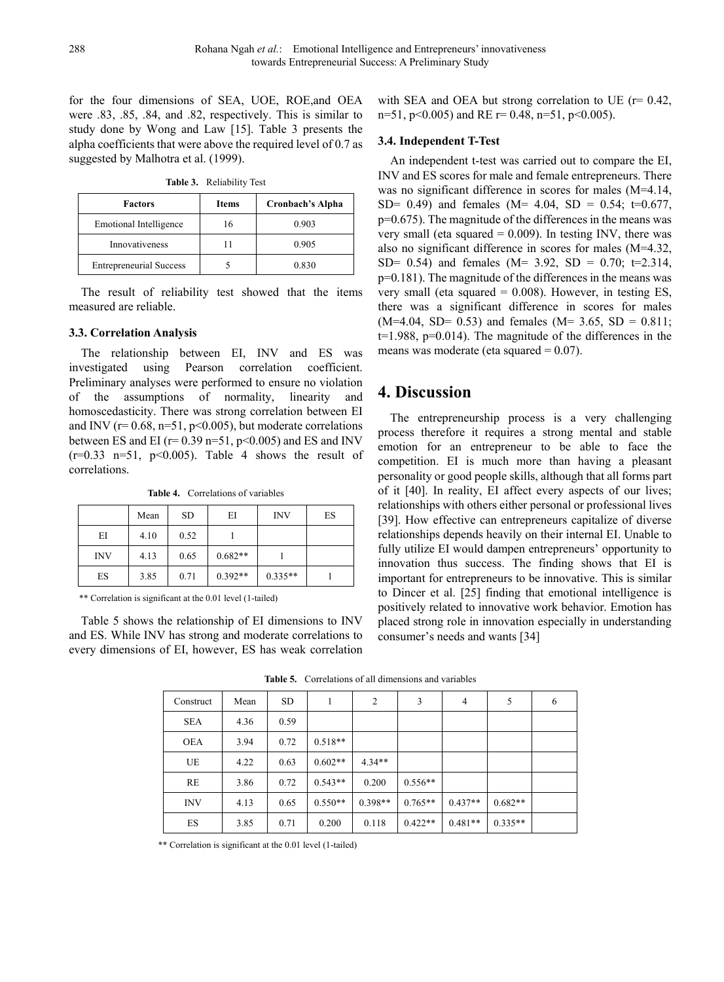for the four dimensions of SEA, UOE, ROE,and OEA were .83, .85, .84, and .82, respectively. This is similar to study done by Wong and Law [15]. Table 3 presents the alpha coefficients that were above the required level of 0.7 as suggested by Malhotra et al. (1999).

| Table 3. | <b>Reliability Test</b> |  |
|----------|-------------------------|--|
|----------|-------------------------|--|

| <b>Factors</b>                 | Items | Cronbach's Alpha |
|--------------------------------|-------|------------------|
| Emotional Intelligence         | 16    | 0.903            |
| Innovativeness                 |       | 0.905            |
| <b>Entrepreneurial Success</b> |       | 0.830            |

The result of reliability test showed that the items measured are reliable.

#### **3.3. Correlation Analysis**

The relationship between EI, INV and ES was investigated using Pearson correlation coefficient. Preliminary analyses were performed to ensure no violation of the assumptions of normality, linearity and homoscedasticity. There was strong correlation between EI and INV ( $r= 0.68$ ,  $n=51$ ,  $p<0.005$ ), but moderate correlations between ES and EI ( $r= 0.39$  n=51,  $p<0.005$ ) and ES and INV  $(r=0.33 \text{ n}=51, \text{ p} < 0.005)$ . Table 4 shows the result of correlations.

**Table 4.** Correlations of variables

|            | Mean | <b>SD</b> | EI        | <b>INV</b> | ES |
|------------|------|-----------|-----------|------------|----|
| EI         | 4.10 | 0.52      |           |            |    |
| <b>INV</b> | 4.13 | 0.65      | $0.682**$ |            |    |
| ES.        | 3.85 | 0.71      | $0.392**$ | $0.335**$  |    |

\*\* Correlation is significant at the 0.01 level (1-tailed)

Table 5 shows the relationship of EI dimensions to INV and ES. While INV has strong and moderate correlations to every dimensions of EI, however, ES has weak correlation

with SEA and OEA but strong correlation to UE  $(r= 0.42)$ . n=51, p<0.005) and RE r= 0.48, n=51, p<0.005).

#### **3.4. Independent T-Test**

An independent t-test was carried out to compare the EI, INV and ES scores for male and female entrepreneurs. There was no significant difference in scores for males (M=4.14, SD= 0.49) and females (M= 4.04, SD = 0.54; t=0.677, p=0.675). The magnitude of the differences in the means was very small (eta squared  $= 0.009$ ). In testing INV, there was also no significant difference in scores for males (M=4.32, SD= 0.54) and females (M= 3.92, SD = 0.70; t=2.314, p=0.181). The magnitude of the differences in the means was very small (eta squared  $= 0.008$ ). However, in testing ES, there was a significant difference in scores for males  $(M=4.04, SD= 0.53)$  and females  $(M= 3.65, SD = 0.811;$  $t=1.988$ ,  $p=0.014$ ). The magnitude of the differences in the means was moderate (eta squared  $= 0.07$ ).

## **4. Discussion**

The entrepreneurship process is a very challenging process therefore it requires a strong mental and stable emotion for an entrepreneur to be able to face the competition. EI is much more than having a pleasant personality or good people skills, although that all forms part of it [40]. In reality, EI affect every aspects of our lives; relationships with others either personal or professional lives [39]. How effective can entrepreneurs capitalize of diverse relationships depends heavily on their internal EI. Unable to fully utilize EI would dampen entrepreneurs' opportunity to innovation thus success. The finding shows that EI is important for entrepreneurs to be innovative. This is similar to Dincer et al. [25] finding that emotional intelligence is positively related to innovative work behavior. Emotion has placed strong role in innovation especially in understanding consumer's needs and wants [34]

| Construct  | Mean | <b>SD</b> | 1         | $\overline{2}$ | 3         | 4         | 5         | 6 |
|------------|------|-----------|-----------|----------------|-----------|-----------|-----------|---|
| <b>SEA</b> | 4.36 | 0.59      |           |                |           |           |           |   |
| <b>OEA</b> | 3.94 | 0.72      | $0.518**$ |                |           |           |           |   |
| UE         | 4.22 | 0.63      | $0.602**$ | $4.34**$       |           |           |           |   |
| RE         | 3.86 | 0.72      | $0.543**$ | 0.200          | $0.556**$ |           |           |   |
| <b>INV</b> | 4.13 | 0.65      | $0.550**$ | $0.398**$      | $0.765**$ | $0.437**$ | $0.682**$ |   |
| ES         | 3.85 | 0.71      | 0.200     | 0.118          | $0.422**$ | $0.481**$ | $0.335**$ |   |

\*\* Correlation is significant at the 0.01 level (1-tailed)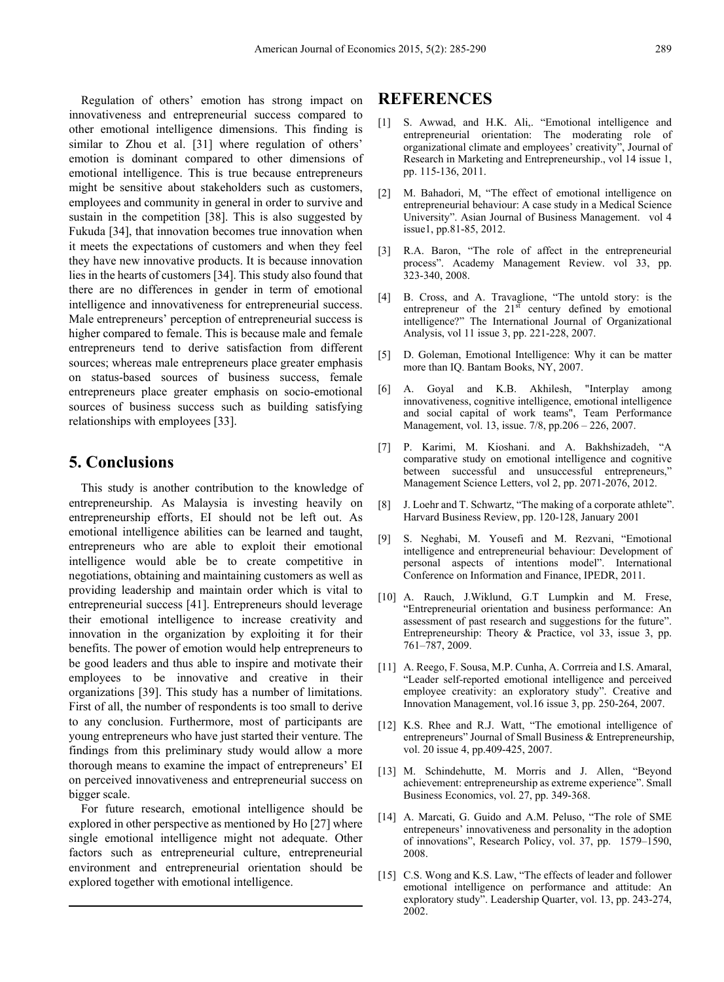Regulation of others' emotion has strong impact on innovativeness and entrepreneurial success compared to other emotional intelligence dimensions. This finding is similar to Zhou et al. [31] where regulation of others' emotion is dominant compared to other dimensions of emotional intelligence. This is true because entrepreneurs might be sensitive about stakeholders such as customers, employees and community in general in order to survive and sustain in the competition [38]. This is also suggested by Fukuda [34], that innovation becomes true innovation when it meets the expectations of customers and when they feel they have new innovative products. It is because innovation lies in the hearts of customers [34]. This study also found that there are no differences in gender in term of emotional intelligence and innovativeness for entrepreneurial success. Male entrepreneurs' perception of entrepreneurial success is higher compared to female. This is because male and female entrepreneurs tend to derive satisfaction from different sources; whereas male entrepreneurs place greater emphasis on status-based sources of business success, female entrepreneurs place greater emphasis on socio-emotional sources of business success such as building satisfying relationships with employees [33].

## **5. Conclusions**

This study is another contribution to the knowledge of entrepreneurship. As Malaysia is investing heavily on entrepreneurship efforts, EI should not be left out. As emotional intelligence abilities can be learned and taught, entrepreneurs who are able to exploit their emotional intelligence would able be to create competitive in negotiations, obtaining and maintaining customers as well as providing leadership and maintain order which is vital to entrepreneurial success [41]. Entrepreneurs should leverage their emotional intelligence to increase creativity and innovation in the organization by exploiting it for their benefits. The power of emotion would help entrepreneurs to be good leaders and thus able to inspire and motivate their employees to be innovative and creative in their organizations [39]. This study has a number of limitations. First of all, the number of respondents is too small to derive to any conclusion. Furthermore, most of participants are young entrepreneurs who have just started their venture. The findings from this preliminary study would allow a more thorough means to examine the impact of entrepreneurs' EI on perceived innovativeness and entrepreneurial success on bigger scale.

For future research, emotional intelligence should be explored in other perspective as mentioned by Ho [27] where single emotional intelligence might not adequate. Other factors such as entrepreneurial culture, entrepreneurial environment and entrepreneurial orientation should be explored together with emotional intelligence.

# **REFERENCES**

- [1] S. Awwad, and H.K. Ali,. "Emotional intelligence and entrepreneurial orientation: The moderating role of organizational climate and employees' creativity", Journal of Research in Marketing and Entrepreneurship., vol 14 issue 1, pp. 115-136, 2011.
- [2] M. Bahadori, M. "The effect of emotional intelligence on entrepreneurial behaviour: A case study in a Medical Science University". Asian Journal of Business Management. vol 4 issue1, pp.81-85, 2012.
- [3] R.A. Baron, "The role of affect in the entrepreneurial process". Academy Management Review. vol 33, pp. 323-340, 2008.
- [4] B. Cross, and A. Travaglione, "The untold story: is the entrepreneur of the  $21<sup>st</sup>$  century defined by emotional intelligence?" The International Journal of Organizational Analysis, vol 11 issue 3, pp. 221-228, 2007.
- [5] D. Goleman, Emotional Intelligence: Why it can be matter more than IQ. Bantam Books, NY, 2007.
- [6] A. Goyal and K.B. Akhilesh, "Interplay among innovativeness, cognitive intelligence, emotional intelligence and social capital of work teams", Team Performance Management, vol. 13, issue. 7/8, pp.206 – 226, 2007.
- [7] P. Karimi, M. Kioshani. and A. Bakhshizadeh, "A comparative study on emotional intelligence and cognitive between successful and unsuccessful entrepreneurs, Management Science Letters, vol 2, pp. 2071-2076, 2012.
- [8] J. Loehr and T. Schwartz, "The making of a corporate athlete". Harvard Business Review, pp. 120-128, January 2001
- [9] S. Neghabi, M. Yousefi and M. Rezvani, "Emotional intelligence and entrepreneurial behaviour: Development of personal aspects of intentions model". International Conference on Information and Finance, IPEDR, 2011.
- [10] A. Rauch, J.Wiklund, G.T Lumpkin and M. Frese, "Entrepreneurial orientation and business performance: An assessment of past research and suggestions for the future". Entrepreneurship: Theory & Practice, vol 33, issue 3, pp. 761–787, 2009.
- [11] A. Reego, F. Sousa, M.P. Cunha, A. Corrreia and I.S. Amaral, "Leader self-reported emotional intelligence and perceived employee creativity: an exploratory study". Creative and Innovation Management, vol.16 issue 3, pp. 250-264, 2007.
- [12] K.S. Rhee and R.J. Watt, "The emotional intelligence of entrepreneurs" Journal of Small Business & Entrepreneurship, vol. 20 issue 4, pp.409-425, 2007.
- [13] M. Schindehutte, M. Morris and J. Allen, "Beyond achievement: entrepreneurship as extreme experience". Small Business Economics, vol. 27, pp. 349-368.
- [14] A. Marcati, G. Guido and A.M. Peluso, "The role of SME entrepeneurs' innovativeness and personality in the adoption of innovations", Research Policy, vol. 37, pp. 1579–1590, 2008.
- [15] C.S. Wong and K.S. Law, "The effects of leader and follower emotional intelligence on performance and attitude: An exploratory study". Leadership Quarter, vol. 13, pp. 243-274, 2002.